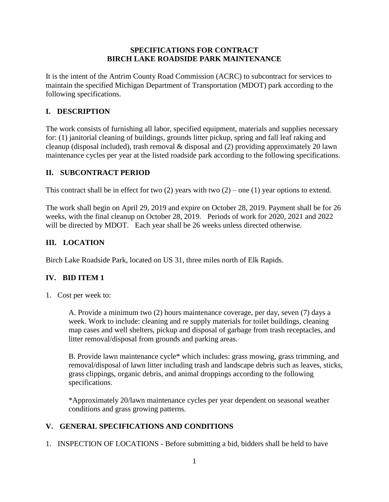### **SPECIFICATIONS FOR CONTRACT BIRCH LAKE ROADSIDE PARK MAINTENANCE**

It is the intent of the Antrim County Road Commission (ACRC) to subcontract for services to maintain the specified Michigan Department of Transportation (MDOT) park according to the following specifications.

# **I. DESCRIPTION**

The work consists of furnishing all labor, specified equipment, materials and supplies necessary for: (1) janitorial cleaning of buildings, grounds litter pickup, spring and fall leaf raking and cleanup (disposal included), trash removal & disposal and (2) providing approximately 20 lawn maintenance cycles per year at the listed roadside park according to the following specifications.

## **II. SUBCONTRACT PERIOD**

This contract shall be in effect for two  $(2)$  years with two  $(2)$  – one  $(1)$  year options to extend.

The work shall begin on April 29, 2019 and expire on October 28, 2019. Payment shall be for 26 weeks, with the final cleanup on October 28, 2019. Periods of work for 2020, 2021 and 2022 will be directed by MDOT. Each year shall be 26 weeks unless directed otherwise.

# **III. LOCATION**

Birch Lake Roadside Park, located on US 31, three miles north of Elk Rapids.

## **IV. BID ITEM 1**

1. Cost per week to:

A. Provide a minimum two (2) hours maintenance coverage, per day, seven (7) days a week. Work to include: cleaning and re supply materials for toilet buildings, cleaning map cases and well shelters, pickup and disposal of garbage from trash receptacles, and litter removal/disposal from grounds and parking areas.

B. Provide lawn maintenance cycle\* which includes: grass mowing, grass trimming, and removal/disposal of lawn litter including trash and landscape debris such as leaves, sticks, grass clippings, organic debris, and animal droppings according to the following specifications.

\*Approximately 20/lawn maintenance cycles per year dependent on seasonal weather conditions and grass growing patterns.

## **V. GENERAL SPECIFICATIONS AND CONDITIONS**

1. INSPECTION OF LOCATIONS - Before submitting a bid, bidders shall be held to have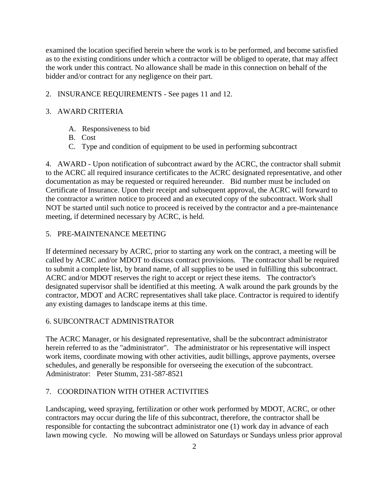examined the location specified herein where the work is to be performed, and become satisfied as to the existing conditions under which a contractor will be obliged to operate, that may affect the work under this contract. No allowance shall be made in this connection on behalf of the bidder and/or contract for any negligence on their part.

### 2. INSURANCE REQUIREMENTS - See pages 11 and 12.

### 3. AWARD CRITERIA

- A. Responsiveness to bid
- B. Cost
- C. Type and condition of equipment to be used in performing subcontract

4. AWARD - Upon notification of subcontract award by the ACRC, the contractor shall submit to the ACRC all required insurance certificates to the ACRC designated representative, and other documentation as may be requested or required hereunder. Bid number must be included on Certificate of Insurance. Upon their receipt and subsequent approval, the ACRC will forward to the contractor a written notice to proceed and an executed copy of the subcontract. Work shall NOT be started until such notice to proceed is received by the contractor and a pre-maintenance meeting, if determined necessary by ACRC, is held.

#### 5. PRE-MAINTENANCE MEETING

If determined necessary by ACRC, prior to starting any work on the contract, a meeting will be called by ACRC and/or MDOT to discuss contract provisions. The contractor shall be required to submit a complete list, by brand name, of all supplies to be used in fulfilling this subcontract. ACRC and/or MDOT reserves the right to accept or reject these items. The contractor's designated supervisor shall be identified at this meeting. A walk around the park grounds by the contractor, MDOT and ACRC representatives shall take place. Contractor is required to identify any existing damages to landscape items at this time.

#### 6. SUBCONTRACT ADMINISTRATOR

The ACRC Manager, or his designated representative, shall be the subcontract administrator herein referred to as the "administrator". The administrator or his representative will inspect work items, coordinate mowing with other activities, audit billings, approve payments, oversee schedules, and generally be responsible for overseeing the execution of the subcontract. Administrator: Peter Stumm, 231-587-8521

## 7. COORDINATION WITH OTHER ACTIVITIES

Landscaping, weed spraying, fertilization or other work performed by MDOT, ACRC, or other contractors may occur during the life of this subcontract, therefore, the contractor shall be responsible for contacting the subcontract administrator one (1) work day in advance of each lawn mowing cycle. No mowing will be allowed on Saturdays or Sundays unless prior approval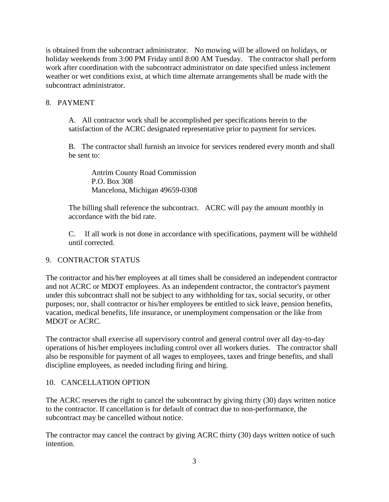is obtained from the subcontract administrator. No mowing will be allowed on holidays, or holiday weekends from 3:00 PM Friday until 8:00 AM Tuesday. The contractor shall perform work after coordination with the subcontract administrator on date specified unless inclement weather or wet conditions exist, at which time alternate arrangements shall be made with the subcontract administrator.

## 8. PAYMENT

A. All contractor work shall be accomplished per specifications herein to the satisfaction of the ACRC designated representative prior to payment for services.

B. The contractor shall furnish an invoice for services rendered every month and shall be sent to:

Antrim County Road Commission P.O. Box 308 Mancelona, Michigan 49659-0308

The billing shall reference the subcontract. ACRC will pay the amount monthly in accordance with the bid rate.

C. If all work is not done in accordance with specifications, payment will be withheld until corrected.

# 9. CONTRACTOR STATUS

The contractor and his/her employees at all times shall be considered an independent contractor and not ACRC or MDOT employees. As an independent contractor, the contractor's payment under this subcontract shall not be subject to any withholding for tax, social security, or other purposes; nor, shall contractor or his/her employees be entitled to sick leave, pension benefits, vacation, medical benefits, life insurance, or unemployment compensation or the like from MDOT or ACRC.

The contractor shall exercise all supervisory control and general control over all day-to-day operations of his/her employees including control over all workers duties. The contractor shall also be responsible for payment of all wages to employees, taxes and fringe benefits, and shall discipline employees, as needed including firing and hiring.

## 10. CANCELLATION OPTION

The ACRC reserves the right to cancel the subcontract by giving thirty (30) days written notice to the contractor. If cancellation is for default of contract due to non-performance, the subcontract may be cancelled without notice.

The contractor may cancel the contract by giving ACRC thirty (30) days written notice of such intention.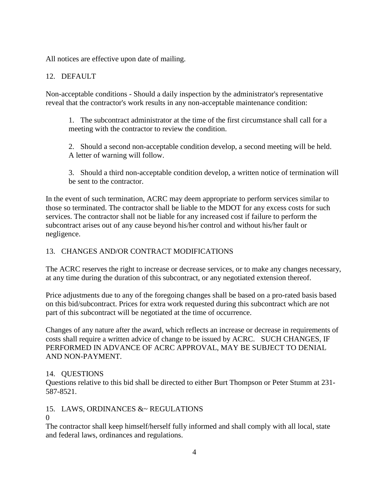All notices are effective upon date of mailing.

## 12. DEFAULT

Non-acceptable conditions - Should a daily inspection by the administrator's representative reveal that the contractor's work results in any non-acceptable maintenance condition:

1. The subcontract administrator at the time of the first circumstance shall call for a meeting with the contractor to review the condition.

2. Should a second non-acceptable condition develop, a second meeting will be held. A letter of warning will follow.

3. Should a third non-acceptable condition develop, a written notice of termination will be sent to the contractor.

In the event of such termination, ACRC may deem appropriate to perform services similar to those so terminated. The contractor shall be liable to the MDOT for any excess costs for such services. The contractor shall not be liable for any increased cost if failure to perform the subcontract arises out of any cause beyond his/her control and without his/her fault or negligence.

## 13. CHANGES AND/OR CONTRACT MODIFICATIONS

The ACRC reserves the right to increase or decrease services, or to make any changes necessary, at any time during the duration of this subcontract, or any negotiated extension thereof.

Price adjustments due to any of the foregoing changes shall be based on a pro-rated basis based on this bid/subcontract. Prices for extra work requested during this subcontract which are not part of this subcontract will be negotiated at the time of occurrence.

Changes of any nature after the award, which reflects an increase or decrease in requirements of costs shall require a written advice of change to be issued by ACRC. SUCH CHANGES, IF PERFORMED IN ADVANCE OF ACRC APPROVAL, MAY BE SUBJECT TO DENIAL AND NON-PAYMENT.

#### 14. QUESTIONS

Questions relative to this bid shall be directed to either Burt Thompson or Peter Stumm at 231- 587-8521.

## 15. LAWS, ORDINANCES &~ REGULATIONS

#### $\Omega$

The contractor shall keep himself/herself fully informed and shall comply with all local, state and federal laws, ordinances and regulations.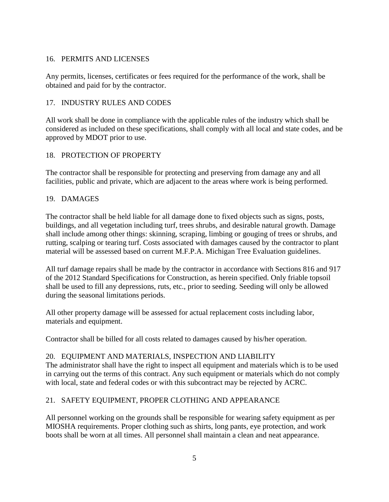### 16. PERMITS AND LICENSES

Any permits, licenses, certificates or fees required for the performance of the work, shall be obtained and paid for by the contractor.

### 17. INDUSTRY RULES AND CODES

All work shall be done in compliance with the applicable rules of the industry which shall be considered as included on these specifications, shall comply with all local and state codes, and be approved by MDOT prior to use.

## 18. PROTECTION OF PROPERTY

The contractor shall be responsible for protecting and preserving from damage any and all facilities, public and private, which are adjacent to the areas where work is being performed.

### 19. DAMAGES

The contractor shall be held liable for all damage done to fixed objects such as signs, posts, buildings, and all vegetation including turf, trees shrubs, and desirable natural growth. Damage shall include among other things: skinning, scraping, limbing or gouging of trees or shrubs, and rutting, scalping or tearing turf. Costs associated with damages caused by the contractor to plant material will be assessed based on current M.F.P.A. Michigan Tree Evaluation guidelines.

All turf damage repairs shall be made by the contractor in accordance with Sections 816 and 917 of the 2012 Standard Specifications for Construction, as herein specified. Only friable topsoil shall be used to fill any depressions, ruts, etc., prior to seeding. Seeding will only be allowed during the seasonal limitations periods.

All other property damage will be assessed for actual replacement costs including labor, materials and equipment.

Contractor shall be billed for all costs related to damages caused by his/her operation.

#### 20. EQUIPMENT AND MATERIALS, INSPECTION AND LIABILITY

The administrator shall have the right to inspect all equipment and materials which is to be used in carrying out the terms of this contract. Any such equipment or materials which do not comply with local, state and federal codes or with this subcontract may be rejected by ACRC.

#### 21. SAFETY EQUIPMENT, PROPER CLOTHING AND APPEARANCE

All personnel working on the grounds shall be responsible for wearing safety equipment as per MIOSHA requirements. Proper clothing such as shirts, long pants, eye protection, and work boots shall be worn at all times. All personnel shall maintain a clean and neat appearance.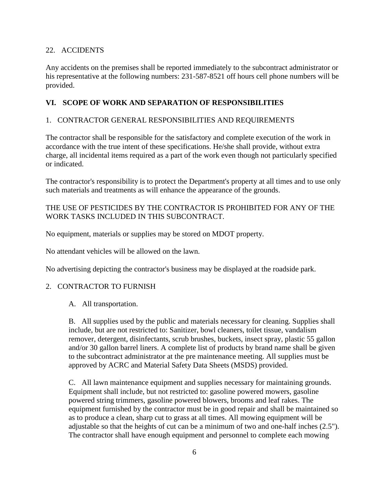### 22. ACCIDENTS

Any accidents on the premises shall be reported immediately to the subcontract administrator or his representative at the following numbers: 231-587-8521 off hours cell phone numbers will be provided.

### **VI. SCOPE OF WORK AND SEPARATION OF RESPONSIBILITIES**

### 1. CONTRACTOR GENERAL RESPONSIBILITIES AND REQUIREMENTS

The contractor shall be responsible for the satisfactory and complete execution of the work in accordance with the true intent of these specifications. He/she shall provide, without extra charge, all incidental items required as a part of the work even though not particularly specified or indicated.

The contractor's responsibility is to protect the Department's property at all times and to use only such materials and treatments as will enhance the appearance of the grounds.

### THE USE OF PESTICIDES BY THE CONTRACTOR IS PROHIBITED FOR ANY OF THE WORK TASKS INCLUDED IN THIS SUBCONTRACT.

No equipment, materials or supplies may be stored on MDOT property.

No attendant vehicles will be allowed on the lawn.

No advertising depicting the contractor's business may be displayed at the roadside park.

#### 2. CONTRACTOR TO FURNISH

#### A. All transportation.

B. All supplies used by the public and materials necessary for cleaning. Supplies shall include, but are not restricted to: Sanitizer, bowl cleaners, toilet tissue, vandalism remover, detergent, disinfectants, scrub brushes, buckets, insect spray, plastic 55 gallon and/or 30 gallon barrel liners. A complete list of products by brand name shall be given to the subcontract administrator at the pre maintenance meeting. All supplies must be approved by ACRC and Material Safety Data Sheets (MSDS) provided.

C. All lawn maintenance equipment and supplies necessary for maintaining grounds. Equipment shall include, but not restricted to: gasoline powered mowers, gasoline powered string trimmers, gasoline powered blowers, brooms and leaf rakes. The equipment furnished by the contractor must be in good repair and shall be maintained so as to produce a clean, sharp cut to grass at all times. All mowing equipment will be adjustable so that the heights of cut can be a minimum of two and one-half inches (2.5"). The contractor shall have enough equipment and personnel to complete each mowing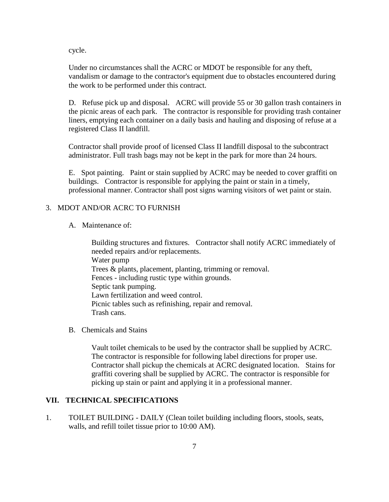cycle.

Under no circumstances shall the ACRC or MDOT be responsible for any theft, vandalism or damage to the contractor's equipment due to obstacles encountered during the work to be performed under this contract.

D. Refuse pick up and disposal. ACRC will provide 55 or 30 gallon trash containers in the picnic areas of each park. The contractor is responsible for providing trash container liners, emptying each container on a daily basis and hauling and disposing of refuse at a registered Class II landfill.

Contractor shall provide proof of licensed Class II landfill disposal to the subcontract administrator. Full trash bags may not be kept in the park for more than 24 hours.

E. Spot painting. Paint or stain supplied by ACRC may be needed to cover graffiti on buildings. Contractor is responsible for applying the paint or stain in a timely, professional manner. Contractor shall post signs warning visitors of wet paint or stain.

#### 3. MDOT AND/OR ACRC TO FURNISH

A. Maintenance of:

Building structures and fixtures. Contractor shall notify ACRC immediately of needed repairs and/or replacements. Water pump Trees & plants, placement, planting, trimming or removal. Fences - including rustic type within grounds. Septic tank pumping. Lawn fertilization and weed control. Picnic tables such as refinishing, repair and removal. Trash cans.

B. Chemicals and Stains

Vault toilet chemicals to be used by the contractor shall be supplied by ACRC. The contractor is responsible for following label directions for proper use. Contractor shall pickup the chemicals at ACRC designated location. Stains for graffiti covering shall be supplied by ACRC. The contractor is responsible for picking up stain or paint and applying it in a professional manner.

#### **VII. TECHNICAL SPECIFICATIONS**

1. TOILET BUILDING - DAILY (Clean toilet building including floors, stools, seats, walls, and refill toilet tissue prior to 10:00 AM).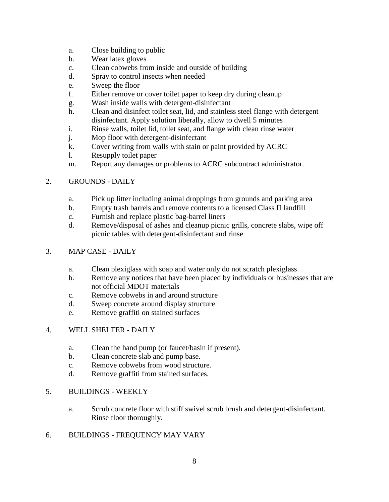- a. Close building to public
- b. Wear latex gloves
- c. Clean cobwebs from inside and outside of building
- d. Spray to control insects when needed
- e. Sweep the floor
- f. Either remove or cover toilet paper to keep dry during cleanup
- g. Wash inside walls with detergent-disinfectant
- h. Clean and disinfect toilet seat, lid, and stainless steel flange with detergent disinfectant. Apply solution liberally, allow to dwell 5 minutes
- i. Rinse walls, toilet lid, toilet seat, and flange with clean rinse water
- j. Mop floor with detergent-disinfectant
- k. Cover writing from walls with stain or paint provided by ACRC
- l. Resupply toilet paper
- m. Report any damages or problems to ACRC subcontract administrator.

### 2. GROUNDS - DAILY

- a. Pick up litter including animal droppings from grounds and parking area
- b. Empty trash barrels and remove contents to a licensed Class II landfill
- c. Furnish and replace plastic bag-barrel liners
- d. Remove/disposal of ashes and cleanup picnic grills, concrete slabs, wipe off picnic tables with detergent-disinfectant and rinse

### 3. MAP CASE - DAILY

- a. Clean plexiglass with soap and water only do not scratch plexiglass
- b. Remove any notices that have been placed by individuals or businesses that are not official MDOT materials
- c. Remove cobwebs in and around structure
- d. Sweep concrete around display structure
- e. Remove graffiti on stained surfaces

#### 4. WELL SHELTER - DAILY

- a. Clean the hand pump (or faucet/basin if present).
- b. Clean concrete slab and pump base.
- c. Remove cobwebs from wood structure.
- d. Remove graffiti from stained surfaces.

#### 5. BUILDINGS - WEEKLY

- a. Scrub concrete floor with stiff swivel scrub brush and detergent-disinfectant. Rinse floor thoroughly.
- 6. BUILDINGS FREQUENCY MAY VARY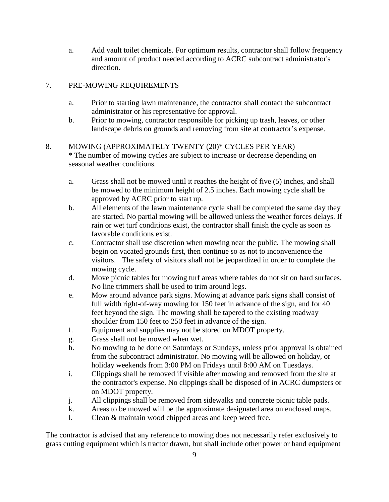a. Add vault toilet chemicals. For optimum results, contractor shall follow frequency and amount of product needed according to ACRC subcontract administrator's direction.

## 7. PRE-MOWING REQUIREMENTS

- a. Prior to starting lawn maintenance, the contractor shall contact the subcontract administrator or his representative for approval.
- b. Prior to mowing, contractor responsible for picking up trash, leaves, or other landscape debris on grounds and removing from site at contractor's expense.

#### 8. MOWING (APPROXIMATELY TWENTY (20)\* CYCLES PER YEAR) \* The number of mowing cycles are subject to increase or decrease depending on seasonal weather conditions.

- a. Grass shall not be mowed until it reaches the height of five (5) inches, and shall be mowed to the minimum height of 2.5 inches. Each mowing cycle shall be approved by ACRC prior to start up.
- b. All elements of the lawn maintenance cycle shall be completed the same day they are started. No partial mowing will be allowed unless the weather forces delays. If rain or wet turf conditions exist, the contractor shall finish the cycle as soon as favorable conditions exist.
- c. Contractor shall use discretion when mowing near the public. The mowing shall begin on vacated grounds first, then continue so as not to inconvenience the visitors. The safety of visitors shall not be jeopardized in order to complete the mowing cycle.
- d. Move picnic tables for mowing turf areas where tables do not sit on hard surfaces. No line trimmers shall be used to trim around legs.
- e. Mow around advance park signs. Mowing at advance park signs shall consist of full width right-of-way mowing for 150 feet in advance of the sign, and for 40 feet beyond the sign. The mowing shall be tapered to the existing roadway shoulder from 150 feet to 250 feet in advance of the sign.
- f. Equipment and supplies may not be stored on MDOT property.
- g. Grass shall not be mowed when wet.
- h. No mowing to be done on Saturdays or Sundays, unless prior approval is obtained from the subcontract administrator. No mowing will be allowed on holiday, or holiday weekends from 3:00 PM on Fridays until 8:00 AM on Tuesdays.
- i. Clippings shall be removed if visible after mowing and removed from the site at the contractor's expense. No clippings shall be disposed of in ACRC dumpsters or on MDOT property.
- j. All clippings shall be removed from sidewalks and concrete picnic table pads.
- k. Areas to be mowed will be the approximate designated area on enclosed maps.
- l. Clean & maintain wood chipped areas and keep weed free.

The contractor is advised that any reference to mowing does not necessarily refer exclusively to grass cutting equipment which is tractor drawn, but shall include other power or hand equipment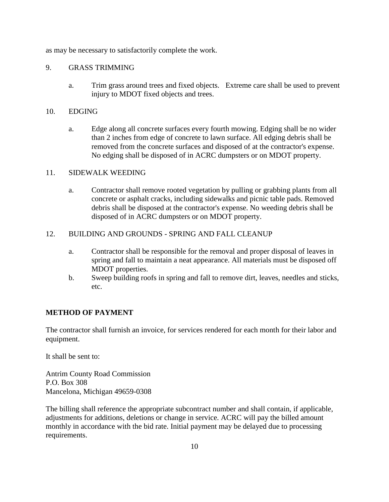as may be necessary to satisfactorily complete the work.

#### 9. GRASS TRIMMING

a. Trim grass around trees and fixed objects. Extreme care shall be used to prevent injury to MDOT fixed objects and trees.

#### 10. EDGING

a. Edge along all concrete surfaces every fourth mowing. Edging shall be no wider than 2 inches from edge of concrete to lawn surface. All edging debris shall be removed from the concrete surfaces and disposed of at the contractor's expense. No edging shall be disposed of in ACRC dumpsters or on MDOT property.

#### 11. SIDEWALK WEEDING

a. Contractor shall remove rooted vegetation by pulling or grabbing plants from all concrete or asphalt cracks, including sidewalks and picnic table pads. Removed debris shall be disposed at the contractor's expense. No weeding debris shall be disposed of in ACRC dumpsters or on MDOT property.

#### 12. BUILDING AND GROUNDS - SPRING AND FALL CLEANUP

- a. Contractor shall be responsible for the removal and proper disposal of leaves in spring and fall to maintain a neat appearance. All materials must be disposed off MDOT properties.
- b. Sweep building roofs in spring and fall to remove dirt, leaves, needles and sticks, etc.

#### **METHOD OF PAYMENT**

The contractor shall furnish an invoice, for services rendered for each month for their labor and equipment.

It shall be sent to:

Antrim County Road Commission P.O. Box 308 Mancelona, Michigan 49659-0308

The billing shall reference the appropriate subcontract number and shall contain, if applicable, adjustments for additions, deletions or change in service. ACRC will pay the billed amount monthly in accordance with the bid rate. Initial payment may be delayed due to processing requirements.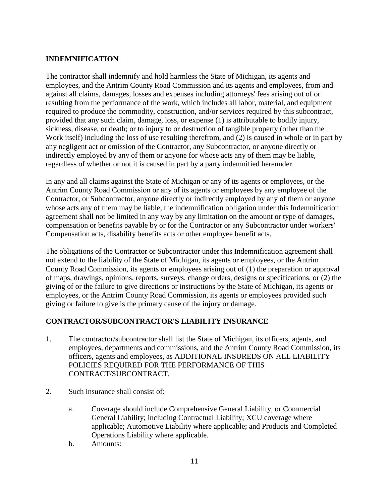### **INDEMNIFICATION**

The contractor shall indemnify and hold harmless the State of Michigan, its agents and employees, and the Antrim County Road Commission and its agents and employees, from and against all claims, damages, losses and expenses including attorneys' fees arising out of or resulting from the performance of the work, which includes all labor, material, and equipment required to produce the commodity, construction, and/or services required by this subcontract, provided that any such claim, damage, loss, or expense (1) is attributable to bodily injury, sickness, disease, or death; or to injury to or destruction of tangible property (other than the Work itself) including the loss of use resulting therefrom, and (2) is caused in whole or in part by any negligent act or omission of the Contractor, any Subcontractor, or anyone directly or indirectly employed by any of them or anyone for whose acts any of them may be liable, regardless of whether or not it is caused in part by a party indemnified hereunder.

In any and all claims against the State of Michigan or any of its agents or employees, or the Antrim County Road Commission or any of its agents or employees by any employee of the Contractor, or Subcontractor, anyone directly or indirectly employed by any of them or anyone whose acts any of them may be liable, the indemnification obligation under this Indemnification agreement shall not be limited in any way by any limitation on the amount or type of damages, compensation or benefits payable by or for the Contractor or any Subcontractor under workers' Compensation acts, disability benefits acts or other employee benefit acts.

The obligations of the Contractor or Subcontractor under this Indemnification agreement shall not extend to the liability of the State of Michigan, its agents or employees, or the Antrim County Road Commission, its agents or employees arising out of (1) the preparation or approval of maps, drawings, opinions, reports, surveys, change orders, designs or specifications, or (2) the giving of or the failure to give directions or instructions by the State of Michigan, its agents or employees, or the Antrim County Road Commission, its agents or employees provided such giving or failure to give is the primary cause of the injury or damage.

## **CONTRACTOR/SUBCONTRACTOR'S LIABILITY INSURANCE**

- 1. The contractor/subcontractor shall list the State of Michigan, its officers, agents, and employees, departments and commissions, and the Antrim County Road Commission, its officers, agents and employees, as ADDITIONAL INSUREDS ON ALL LIABILITY POLICIES REQUIRED FOR THE PERFORMANCE OF THIS CONTRACT/SUBCONTRACT.
- 2. Such insurance shall consist of:
	- a. Coverage should include Comprehensive General Liability, or Commercial General Liability; including Contractual Liability; XCU coverage where applicable; Automotive Liability where applicable; and Products and Completed Operations Liability where applicable.
	- b. Amounts: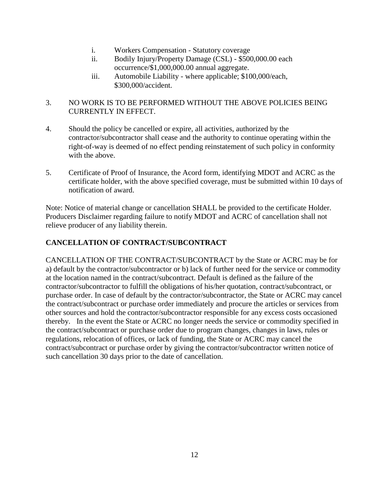- i. Workers Compensation Statutory coverage
- ii. Bodily Injury/Property Damage (CSL) \$500,000.00 each occurrence/\$1,000,000.00 annual aggregate.
- iii. Automobile Liability where applicable; \$100,000/each, \$300,000/accident.

## 3. NO WORK IS TO BE PERFORMED WITHOUT THE ABOVE POLICIES BEING CURRENTLY IN EFFECT.

- 4. Should the policy be cancelled or expire, all activities, authorized by the contractor/subcontractor shall cease and the authority to continue operating within the right-of-way is deemed of no effect pending reinstatement of such policy in conformity with the above.
- 5. Certificate of Proof of Insurance, the Acord form, identifying MDOT and ACRC as the certificate holder, with the above specified coverage, must be submitted within 10 days of notification of award.

Note: Notice of material change or cancellation SHALL be provided to the certificate Holder. Producers Disclaimer regarding failure to notify MDOT and ACRC of cancellation shall not relieve producer of any liability therein.

# **CANCELLATION OF CONTRACT/SUBCONTRACT**

CANCELLATION OF THE CONTRACT/SUBCONTRACT by the State or ACRC may be for a) default by the contractor/subcontractor or b) lack of further need for the service or commodity at the location named in the contract/subcontract. Default is defined as the failure of the contractor/subcontractor to fulfill the obligations of his/her quotation, contract/subcontract, or purchase order. In case of default by the contractor/subcontractor, the State or ACRC may cancel the contract/subcontract or purchase order immediately and procure the articles or services from other sources and hold the contractor/subcontractor responsible for any excess costs occasioned thereby. In the event the State or ACRC no longer needs the service or commodity specified in the contract/subcontract or purchase order due to program changes, changes in laws, rules or regulations, relocation of offices, or lack of funding, the State or ACRC may cancel the contract/subcontract or purchase order by giving the contractor/subcontractor written notice of such cancellation 30 days prior to the date of cancellation.